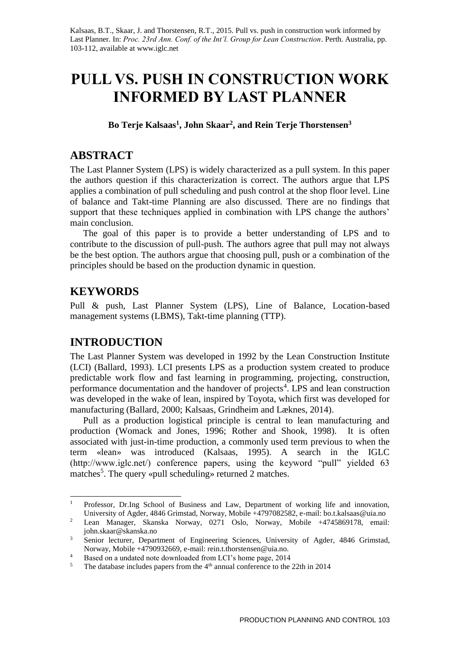Kalsaas, B.T., Skaar, J. and Thorstensen, R.T., 2015. Pull vs. push in construction work informed by Last Planner. In: *Proc. 23rd Ann. Conf. of the Int'l. Group for Lean Construction*. Perth. Australia, pp. 103-112, available at www.iglc.net

# **PULL VS. PUSH IN CONSTRUCTION WORK INFORMED BY LAST PLANNER**

**Bo Terje Kalsaas<sup>1</sup> , John Skaar<sup>2</sup> , and Rein Terje Thorstensen<sup>3</sup>**

#### **ABSTRACT**

The Last Planner System (LPS) is widely characterized as a pull system. In this paper the authors question if this characterization is correct. The authors argue that LPS applies a combination of pull scheduling and push control at the shop floor level. Line of balance and Takt-time Planning are also discussed. There are no findings that support that these techniques applied in combination with LPS change the authors' main conclusion.

The goal of this paper is to provide a better understanding of LPS and to contribute to the discussion of pull-push. The authors agree that pull may not always be the best option. The authors argue that choosing pull, push or a combination of the principles should be based on the production dynamic in question.

#### **KEYWORDS**

Pull & push, Last Planner System (LPS), Line of Balance, Location-based management systems (LBMS), Takt-time planning (TTP).

#### **INTRODUCTION**

The Last Planner System was developed in 1992 by the Lean Construction Institute (LCI) (Ballard, 1993). LCI presents LPS as a production system created to produce predictable work flow and fast learning in programming, projecting, construction, performance documentation and the handover of projects<sup>4</sup>. LPS and lean construction was developed in the wake of lean, inspired by Toyota, which first was developed for manufacturing (Ballard, 2000; Kalsaas, Grindheim and Læknes, 2014).

Pull as a production logistical principle is central to lean manufacturing and production (Womack and Jones, 1996; Rother and Shook, 1998). It is often associated with just-in-time production, a commonly used term previous to when the term «lean» was introduced (Kalsaas, 1995). A search in the IGLC (http://www.iglc.net/) conference papers, using the keyword "pull" yielded 63 matches<sup>5</sup>. The query «pull scheduling» returned 2 matches.

 $\mathbf{1}$ <sup>1</sup> Professor, Dr.Ing School of Business and Law, Department of working life and innovation, University of Agder, 4846 Grimstad, Norway, Mobile +4797082582, e-mail: bo.t.kalsaas@uia.no

<sup>2</sup> Lean Manager, Skanska Norway, 0271 Oslo, Norway, Mobile +4745869178, email: john.skaar@skanska.no

<sup>&</sup>lt;sup>3</sup> Senior lecturer, Department of Engineering Sciences, University of Agder, 4846 Grimstad, Norway, Mobile +4790932669, e-mail: rein.t.thorstensen@uia.no.

<sup>&</sup>lt;sup>4</sup> Based on a undated note downloaded from LCI's home page, 2014<br><sup>5</sup> The database includes papers from the  $4<sup>th</sup>$  annual conference to the

The database includes papers from the  $4<sup>th</sup>$  annual conference to the 22th in 2014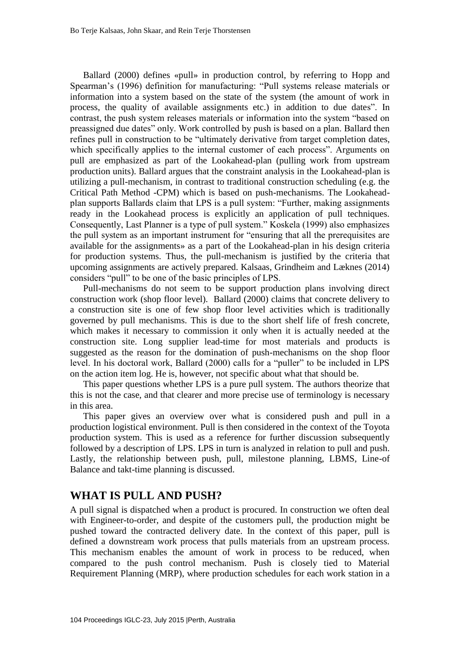Ballard (2000) defines «pull» in production control, by referring to Hopp and Spearman's (1996) definition for manufacturing: "Pull systems release materials or information into a system based on the state of the system (the amount of work in process, the quality of available assignments etc.) in addition to due dates". In contrast, the push system releases materials or information into the system "based on preassigned due dates" only. Work controlled by push is based on a plan. Ballard then refines pull in construction to be "ultimately derivative from target completion dates, which specifically applies to the internal customer of each process". Arguments on pull are emphasized as part of the Lookahead-plan (pulling work from upstream production units). Ballard argues that the constraint analysis in the Lookahead-plan is utilizing a pull-mechanism, in contrast to traditional construction scheduling (e.g. the Critical Path Method -CPM) which is based on push-mechanisms. The Lookaheadplan supports Ballards claim that LPS is a pull system: "Further, making assignments ready in the Lookahead process is explicitly an application of pull techniques. Consequently, Last Planner is a type of pull system." Koskela (1999) also emphasizes the pull system as an important instrument for "ensuring that all the prerequisites are available for the assignments» as a part of the Lookahead-plan in his design criteria for production systems. Thus, the pull-mechanism is justified by the criteria that upcoming assignments are actively prepared. Kalsaas, Grindheim and Læknes (2014) considers "pull" to be one of the basic principles of LPS.

Pull-mechanisms do not seem to be support production plans involving direct construction work (shop floor level). Ballard (2000) claims that concrete delivery to a construction site is one of few shop floor level activities which is traditionally governed by pull mechanisms. This is due to the short shelf life of fresh concrete, which makes it necessary to commission it only when it is actually needed at the construction site. Long supplier lead-time for most materials and products is suggested as the reason for the domination of push-mechanisms on the shop floor level. In his doctoral work, Ballard (2000) calls for a "puller" to be included in LPS on the action item log. He is, however, not specific about what that should be.

This paper questions whether LPS is a pure pull system. The authors theorize that this is not the case, and that clearer and more precise use of terminology is necessary in this area.

This paper gives an overview over what is considered push and pull in a production logistical environment. Pull is then considered in the context of the Toyota production system. This is used as a reference for further discussion subsequently followed by a description of LPS. LPS in turn is analyzed in relation to pull and push. Lastly, the relationship between push, pull, milestone planning, LBMS, Line-of Balance and takt-time planning is discussed.

## **WHAT IS PULL AND PUSH?**

A pull signal is dispatched when a product is procured. In construction we often deal with Engineer-to-order, and despite of the customers pull, the production might be pushed toward the contracted delivery date. In the context of this paper, pull is defined a downstream work process that pulls materials from an upstream process. This mechanism enables the amount of work in process to be reduced, when compared to the push control mechanism. Push is closely tied to Material Requirement Planning (MRP), where production schedules for each work station in a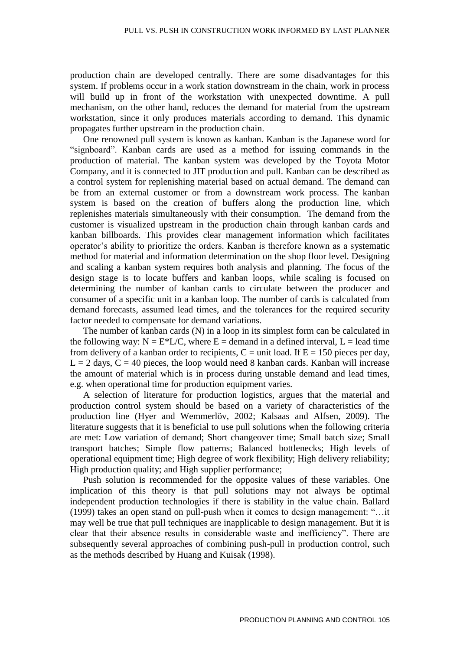production chain are developed centrally. There are some disadvantages for this system. If problems occur in a work station downstream in the chain, work in process will build up in front of the workstation with unexpected downtime. A pull mechanism, on the other hand, reduces the demand for material from the upstream workstation, since it only produces materials according to demand. This dynamic propagates further upstream in the production chain.

One renowned pull system is known as kanban. Kanban is the Japanese word for "signboard". Kanban cards are used as a method for issuing commands in the production of material. The kanban system was developed by the Toyota Motor Company, and it is connected to JIT production and pull. Kanban can be described as a control system for replenishing material based on actual demand. The demand can be from an external customer or from a downstream work process. The kanban system is based on the creation of buffers along the production line, which replenishes materials simultaneously with their consumption. The demand from the customer is visualized upstream in the production chain through kanban cards and kanban billboards. This provides clear management information which facilitates operator's ability to prioritize the orders. Kanban is therefore known as a systematic method for material and information determination on the shop floor level. Designing and scaling a kanban system requires both analysis and planning. The focus of the design stage is to locate buffers and kanban loops, while scaling is focused on determining the number of kanban cards to circulate between the producer and consumer of a specific unit in a kanban loop. The number of cards is calculated from demand forecasts, assumed lead times, and the tolerances for the required security factor needed to compensate for demand variations.

The number of kanban cards (N) in a loop in its simplest form can be calculated in the following way:  $N = E^*L/C$ , where  $E =$  demand in a defined interval,  $L =$  lead time from delivery of a kanban order to recipients,  $C =$  unit load. If  $E = 150$  pieces per day,  $L = 2$  days,  $C = 40$  pieces, the loop would need 8 kanban cards. Kanban will increase the amount of material which is in process during unstable demand and lead times, e.g. when operational time for production equipment varies.

A selection of literature for production logistics, argues that the material and production control system should be based on a variety of characteristics of the production line (Hyer and Wemmerlöv, 2002; Kalsaas and Alfsen, 2009). The literature suggests that it is beneficial to use pull solutions when the following criteria are met: Low variation of demand; Short changeover time; Small batch size; Small transport batches; Simple flow patterns; Balanced bottlenecks; High levels of operational equipment time; High degree of work flexibility; High delivery reliability; High production quality; and High supplier performance;

Push solution is recommended for the opposite values of these variables. One implication of this theory is that pull solutions may not always be optimal independent production technologies if there is stability in the value chain. Ballard (1999) takes an open stand on pull-push when it comes to design management: "…it may well be true that pull techniques are inapplicable to design management. But it is clear that their absence results in considerable waste and inefficiency". There are subsequently several approaches of combining push-pull in production control, such as the methods described by Huang and Kuisak (1998).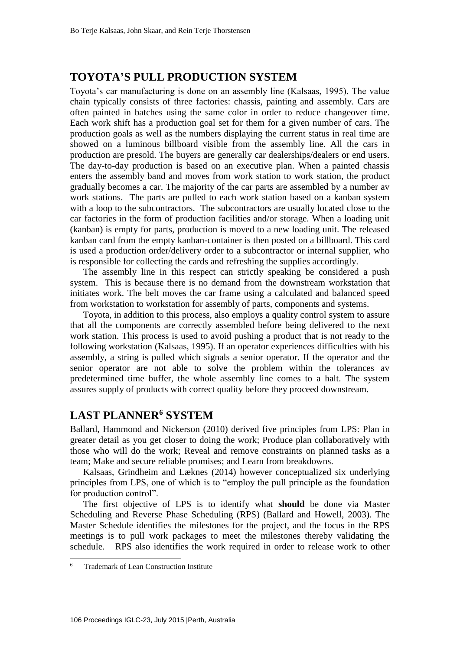## **TOYOTA'S PULL PRODUCTION SYSTEM**

Toyota's car manufacturing is done on an assembly line (Kalsaas, 1995). The value chain typically consists of three factories: chassis, painting and assembly. Cars are often painted in batches using the same color in order to reduce changeover time. Each work shift has a production goal set for them for a given number of cars. The production goals as well as the numbers displaying the current status in real time are showed on a luminous billboard visible from the assembly line. All the cars in production are presold. The buyers are generally car dealerships/dealers or end users. The day-to-day production is based on an executive plan. When a painted chassis enters the assembly band and moves from work station to work station, the product gradually becomes a car. The majority of the car parts are assembled by a number av work stations. The parts are pulled to each work station based on a kanban system with a loop to the subcontractors. The subcontractors are usually located close to the car factories in the form of production facilities and/or storage. When a loading unit (kanban) is empty for parts, production is moved to a new loading unit. The released kanban card from the empty kanban-container is then posted on a billboard. This card is used a production order/delivery order to a subcontractor or internal supplier, who is responsible for collecting the cards and refreshing the supplies accordingly.

The assembly line in this respect can strictly speaking be considered a push system. This is because there is no demand from the downstream workstation that initiates work. The belt moves the car frame using a calculated and balanced speed from workstation to workstation for assembly of parts, components and systems.

Toyota, in addition to this process, also employs a quality control system to assure that all the components are correctly assembled before being delivered to the next work station. This process is used to avoid pushing a product that is not ready to the following workstation (Kalsaas, 1995). If an operator experiences difficulties with his assembly, a string is pulled which signals a senior operator. If the operator and the senior operator are not able to solve the problem within the tolerances av predetermined time buffer, the whole assembly line comes to a halt. The system assures supply of products with correct quality before they proceed downstream.

## **LAST PLANNER<sup>6</sup> SYSTEM**

Ballard, Hammond and Nickerson (2010) derived five principles from LPS: Plan in greater detail as you get closer to doing the work; Produce plan collaboratively with those who will do the work; Reveal and remove constraints on planned tasks as a team; Make and secure reliable promises; and Learn from breakdowns.

Kalsaas, Grindheim and Læknes (2014) however conceptualized six underlying principles from LPS, one of which is to "employ the pull principle as the foundation for production control".

The first objective of LPS is to identify what **should** be done via Master Scheduling and Reverse Phase Scheduling (RPS) (Ballard and Howell, 2003). The Master Schedule identifies the milestones for the project, and the focus in the RPS meetings is to pull work packages to meet the milestones thereby validating the schedule. RPS also identifies the work required in order to release work to other

1

<sup>6</sup> Trademark of Lean Construction Institute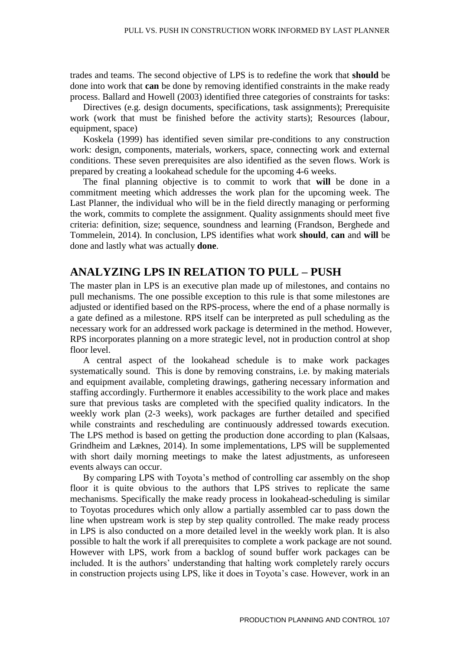trades and teams. The second objective of LPS is to redefine the work that **should** be done into work that **can** be done by removing identified constraints in the make ready process. Ballard and Howell (2003) identified three categories of constraints for tasks:

Directives (e.g. design documents, specifications, task assignments); Prerequisite work (work that must be finished before the activity starts); Resources (labour, equipment, space)

Koskela (1999) has identified seven similar pre-conditions to any construction work: design, components, materials, workers, space, connecting work and external conditions. These seven prerequisites are also identified as the seven flows. Work is prepared by creating a lookahead schedule for the upcoming 4-6 weeks.

The final planning objective is to commit to work that **will** be done in a commitment meeting which addresses the work plan for the upcoming week. The Last Planner, the individual who will be in the field directly managing or performing the work, commits to complete the assignment. Quality assignments should meet five criteria: definition, size; sequence, soundness and learning (Frandson, Berghede and Tommelein, 2014). In conclusion, LPS identifies what work **should**, **can** and **will** be done and lastly what was actually **done**.

#### **ANALYZING LPS IN RELATION TO PULL – PUSH**

The master plan in LPS is an executive plan made up of milestones, and contains no pull mechanisms. The one possible exception to this rule is that some milestones are adjusted or identified based on the RPS-process, where the end of a phase normally is a gate defined as a milestone. RPS itself can be interpreted as pull scheduling as the necessary work for an addressed work package is determined in the method. However, RPS incorporates planning on a more strategic level, not in production control at shop floor level.

A central aspect of the lookahead schedule is to make work packages systematically sound. This is done by removing constrains, i.e. by making materials and equipment available, completing drawings, gathering necessary information and staffing accordingly. Furthermore it enables accessibility to the work place and makes sure that previous tasks are completed with the specified quality indicators. In the weekly work plan (2-3 weeks), work packages are further detailed and specified while constraints and rescheduling are continuously addressed towards execution. The LPS method is based on getting the production done according to plan (Kalsaas, Grindheim and Læknes, 2014). In some implementations, LPS will be supplemented with short daily morning meetings to make the latest adjustments, as unforeseen events always can occur.

By comparing LPS with Toyota's method of controlling car assembly on the shop floor it is quite obvious to the authors that LPS strives to replicate the same mechanisms. Specifically the make ready process in lookahead-scheduling is similar to Toyotas procedures which only allow a partially assembled car to pass down the line when upstream work is step by step quality controlled. The make ready process in LPS is also conducted on a more detailed level in the weekly work plan. It is also possible to halt the work if all prerequisites to complete a work package are not sound. However with LPS, work from a backlog of sound buffer work packages can be included. It is the authors' understanding that halting work completely rarely occurs in construction projects using LPS, like it does in Toyota's case. However, work in an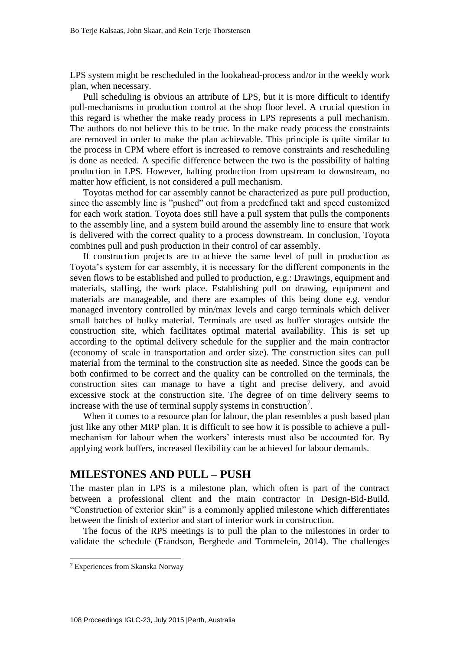LPS system might be rescheduled in the lookahead-process and/or in the weekly work plan, when necessary.

Pull scheduling is obvious an attribute of LPS, but it is more difficult to identify pull-mechanisms in production control at the shop floor level. A crucial question in this regard is whether the make ready process in LPS represents a pull mechanism. The authors do not believe this to be true. In the make ready process the constraints are removed in order to make the plan achievable. This principle is quite similar to the process in CPM where effort is increased to remove constraints and rescheduling is done as needed. A specific difference between the two is the possibility of halting production in LPS. However, halting production from upstream to downstream, no matter how efficient, is not considered a pull mechanism.

Toyotas method for car assembly cannot be characterized as pure pull production, since the assembly line is "pushed" out from a predefined takt and speed customized for each work station. Toyota does still have a pull system that pulls the components to the assembly line, and a system build around the assembly line to ensure that work is delivered with the correct quality to a process downstream. In conclusion, Toyota combines pull and push production in their control of car assembly.

If construction projects are to achieve the same level of pull in production as Toyota's system for car assembly, it is necessary for the different components in the seven flows to be established and pulled to production, e.g.: Drawings, equipment and materials, staffing, the work place. Establishing pull on drawing, equipment and materials are manageable, and there are examples of this being done e.g. vendor managed inventory controlled by min/max levels and cargo terminals which deliver small batches of bulky material. Terminals are used as buffer storages outside the construction site, which facilitates optimal material availability. This is set up according to the optimal delivery schedule for the supplier and the main contractor (economy of scale in transportation and order size). The construction sites can pull material from the terminal to the construction site as needed. Since the goods can be both confirmed to be correct and the quality can be controlled on the terminals, the construction sites can manage to have a tight and precise delivery, and avoid excessive stock at the construction site. The degree of on time delivery seems to increase with the use of terminal supply systems in construction<sup>7</sup>.

When it comes to a resource plan for labour, the plan resembles a push based plan just like any other MRP plan. It is difficult to see how it is possible to achieve a pullmechanism for labour when the workers' interests must also be accounted for. By applying work buffers, increased flexibility can be achieved for labour demands.

#### **MILESTONES AND PULL – PUSH**

The master plan in LPS is a milestone plan, which often is part of the contract between a professional client and the main contractor in Design-Bid-Build. "Construction of exterior skin" is a commonly applied milestone which differentiates between the finish of exterior and start of interior work in construction.

The focus of the RPS meetings is to pull the plan to the milestones in order to validate the schedule (Frandson, Berghede and Tommelein, 2014). The challenges

1

<sup>7</sup> Experiences from Skanska Norway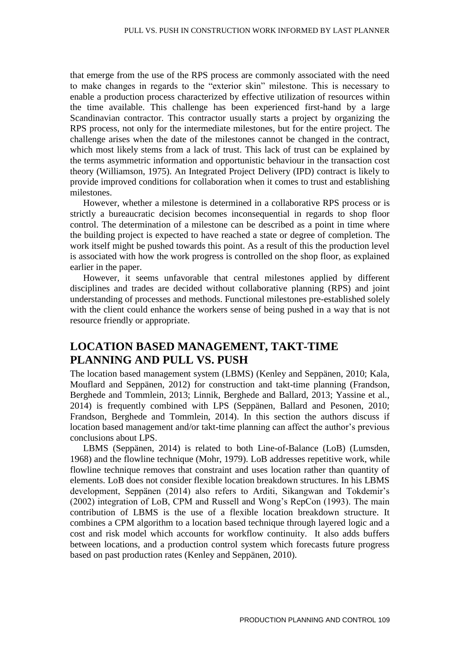that emerge from the use of the RPS process are commonly associated with the need to make changes in regards to the "exterior skin" milestone. This is necessary to enable a production process characterized by effective utilization of resources within the time available. This challenge has been experienced first-hand by a large Scandinavian contractor. This contractor usually starts a project by organizing the RPS process, not only for the intermediate milestones, but for the entire project. The challenge arises when the date of the milestones cannot be changed in the contract, which most likely stems from a lack of trust. This lack of trust can be explained by the terms asymmetric information and opportunistic behaviour in the transaction cost theory (Williamson, 1975). An Integrated Project Delivery (IPD) contract is likely to provide improved conditions for collaboration when it comes to trust and establishing milestones.

However, whether a milestone is determined in a collaborative RPS process or is strictly a bureaucratic decision becomes inconsequential in regards to shop floor control. The determination of a milestone can be described as a point in time where the building project is expected to have reached a state or degree of completion. The work itself might be pushed towards this point. As a result of this the production level is associated with how the work progress is controlled on the shop floor, as explained earlier in the paper.

However, it seems unfavorable that central milestones applied by different disciplines and trades are decided without collaborative planning (RPS) and joint understanding of processes and methods. Functional milestones pre-established solely with the client could enhance the workers sense of being pushed in a way that is not resource friendly or appropriate.

## **LOCATION BASED MANAGEMENT, TAKT-TIME PLANNING AND PULL VS. PUSH**

The location based management system (LBMS) (Kenley and Seppänen, 2010; Kala, Mouflard and Seppänen, 2012) for construction and takt-time planning (Frandson, Berghede and Tommlein, 2013; Linnik, Berghede and Ballard, 2013; Yassine et al., 2014) is frequently combined with LPS (Seppänen, Ballard and Pesonen, 2010; Frandson, Berghede and Tommlein, 2014). In this section the authors discuss if location based management and/or takt-time planning can affect the author's previous conclusions about LPS.

LBMS (Seppänen, 2014) is related to both Line-of-Balance (LoB) (Lumsden, 1968) and the flowline technique (Mohr, 1979). LoB addresses repetitive work, while flowline technique removes that constraint and uses location rather than quantity of elements. LoB does not consider flexible location breakdown structures. In his LBMS development, Seppänen (2014) also refers to Arditi, Sikangwan and Tokdemir's (2002) integration of LoB, CPM and Russell and Wong's RepCon (1993). The main contribution of LBMS is the use of a flexible location breakdown structure. It combines a CPM algorithm to a location based technique through layered logic and a cost and risk model which accounts for workflow continuity. It also adds buffers between locations, and a production control system which forecasts future progress based on past production rates (Kenley and Seppänen, 2010).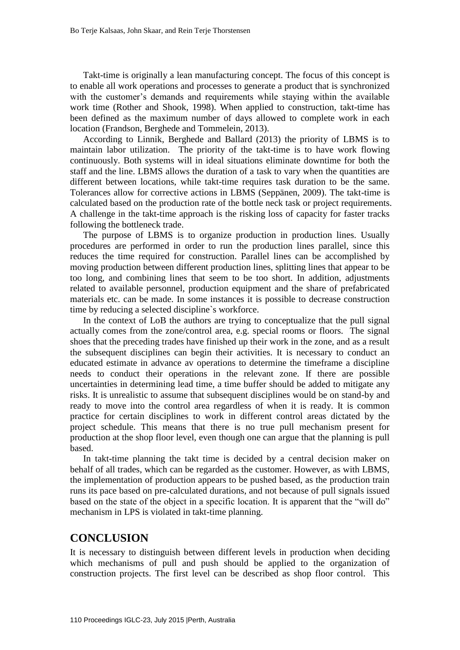Takt-time is originally a lean manufacturing concept. The focus of this concept is to enable all work operations and processes to generate a product that is synchronized with the customer's demands and requirements while staying within the available work time (Rother and Shook, 1998). When applied to construction, takt-time has been defined as the maximum number of days allowed to complete work in each location (Frandson, Berghede and Tommelein, 2013).

According to Linnik, Berghede and Ballard (2013) the priority of LBMS is to maintain labor utilization. The priority of the takt-time is to have work flowing continuously. Both systems will in ideal situations eliminate downtime for both the staff and the line. LBMS allows the duration of a task to vary when the quantities are different between locations, while takt-time requires task duration to be the same. Tolerances allow for corrective actions in LBMS (Seppänen, 2009). The takt-time is calculated based on the production rate of the bottle neck task or project requirements. A challenge in the takt-time approach is the risking loss of capacity for faster tracks following the bottleneck trade.

The purpose of LBMS is to organize production in production lines. Usually procedures are performed in order to run the production lines parallel, since this reduces the time required for construction. Parallel lines can be accomplished by moving production between different production lines, splitting lines that appear to be too long, and combining lines that seem to be too short. In addition, adjustments related to available personnel, production equipment and the share of prefabricated materials etc. can be made. In some instances it is possible to decrease construction time by reducing a selected discipline`s workforce.

In the context of LoB the authors are trying to conceptualize that the pull signal actually comes from the zone/control area, e.g. special rooms or floors. The signal shoes that the preceding trades have finished up their work in the zone, and as a result the subsequent disciplines can begin their activities. It is necessary to conduct an educated estimate in advance av operations to determine the timeframe a discipline needs to conduct their operations in the relevant zone. If there are possible uncertainties in determining lead time, a time buffer should be added to mitigate any risks. It is unrealistic to assume that subsequent disciplines would be on stand-by and ready to move into the control area regardless of when it is ready. It is common practice for certain disciplines to work in different control areas dictated by the project schedule. This means that there is no true pull mechanism present for production at the shop floor level, even though one can argue that the planning is pull based.

In takt-time planning the takt time is decided by a central decision maker on behalf of all trades, which can be regarded as the customer. However, as with LBMS, the implementation of production appears to be pushed based, as the production train runs its pace based on pre-calculated durations, and not because of pull signals issued based on the state of the object in a specific location. It is apparent that the "will do" mechanism in LPS is violated in takt-time planning.

## **CONCLUSION**

It is necessary to distinguish between different levels in production when deciding which mechanisms of pull and push should be applied to the organization of construction projects. The first level can be described as shop floor control. This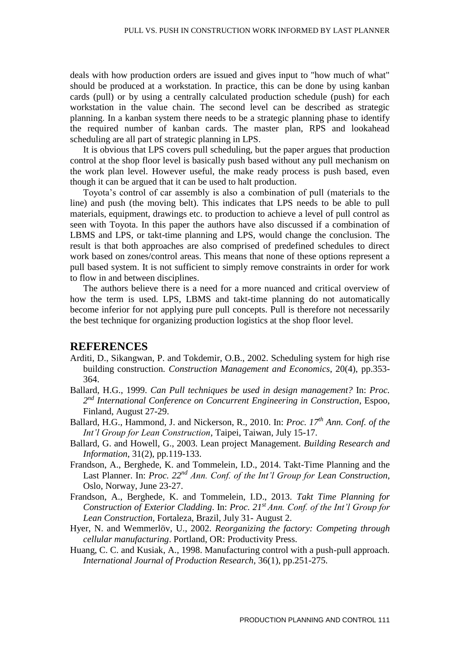deals with how production orders are issued and gives input to "how much of what" should be produced at a workstation. In practice, this can be done by using kanban cards (pull) or by using a centrally calculated production schedule (push) for each workstation in the value chain. The second level can be described as strategic planning. In a kanban system there needs to be a strategic planning phase to identify the required number of kanban cards. The master plan, RPS and lookahead scheduling are all part of strategic planning in LPS.

It is obvious that LPS covers pull scheduling, but the paper argues that production control at the shop floor level is basically push based without any pull mechanism on the work plan level. However useful, the make ready process is push based, even though it can be argued that it can be used to halt production.

Toyota's control of car assembly is also a combination of pull (materials to the line) and push (the moving belt). This indicates that LPS needs to be able to pull materials, equipment, drawings etc. to production to achieve a level of pull control as seen with Toyota. In this paper the authors have also discussed if a combination of LBMS and LPS, or takt-time planning and LPS, would change the conclusion. The result is that both approaches are also comprised of predefined schedules to direct work based on zones/control areas. This means that none of these options represent a pull based system. It is not sufficient to simply remove constraints in order for work to flow in and between disciplines.

The authors believe there is a need for a more nuanced and critical overview of how the term is used. LPS, LBMS and takt-time planning do not automatically become inferior for not applying pure pull concepts. Pull is therefore not necessarily the best technique for organizing production logistics at the shop floor level.

#### **REFERENCES**

- Arditi, D., Sikangwan, P. and Tokdemir, O.B., 2002. Scheduling system for high rise building construction*. Construction Management and Economics*, 20(4), pp.353- 364.
- Ballard, H.G., 1999. *Can Pull techniques be used in design management?* In: *Proc. 2 nd International Conference on Concurrent Engineering in Construction*, Espoo, Finland, August 27-29.
- Ballard, H.G., Hammond, J. and Nickerson, R., 2010. In: *Proc. 17th Ann. Conf. of the Int'l Group for Lean Construction*, Taipei, Taiwan, July 15-17.
- Ballard, G. and Howell, G., 2003. Lean project Management. *Building Research and Information*, 31(2), pp.119-133.
- Frandson, A., Berghede, K. and Tommelein, I.D., 2014. Takt-Time Planning and the Last Planner. In: *Proc. 22nd Ann. Conf. of the Int'l Group for Lean Construction*, Oslo, Norway, June 23-27.
- Frandson, A., Berghede, K. and Tommelein, I.D., 2013. *Takt Time Planning for Construction of Exterior Cladding*. In: *Proc. 21st Ann. Conf. of the Int'l Group for Lean Construction*, Fortaleza, Brazil, July 31- August 2.
- Hyer, N. and Wemmerlöv, U., 2002. *Reorganizing the factory: Competing through cellular manufacturing*. Portland, OR: Productivity Press.
- Huang, C. C. and Kusiak, A., 1998. Manufacturing control with a push-pull approach*. International Journal of Production Research*, 36(1), pp.251-275.